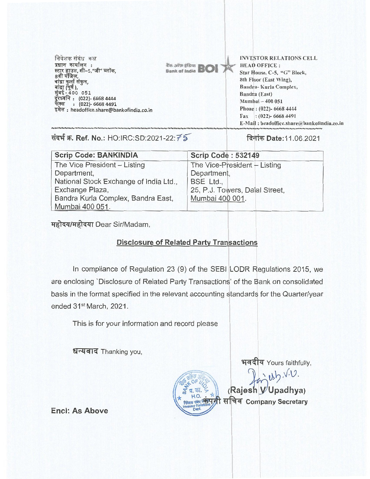निवेशक संबंध कक्ष प्रधान कार्यालय :<br>स्टार हाउस, सी–5,"जी" ब्लॉक, रती मंजिल,<br>बांद्रा कुर्ला सं बाद्रा (पूर्व ),<br>मुंबई - 400 051 दूरध्वनि : (022)- 6668 4444 फेंक्स: (022)- 6668 4491 इमेल: headoffice.share@bankofindia.co.in

*The Jilip of BOI* 

INVESTOR RELATIONS CELL HEAD OFFICE : Star House, C-5, "G" Block, 8th Floor (East Wing), Bandra- Kurla Complex, Bandra (East) Nlumbai —400 051 Phone : (022)- 6668 4444 Fax:  $(022)$ - 6668 4491 E-Mail : headoffice.share@bankofindia.co.in

**thif W. Ref. No.:** HO:IRC:SD:2021-22:75- **fi9iT Date:11.06.2021** 

| <b>Scrip Code: BANKINDIA</b>           | <b>Scrip Code: 532149</b>      |
|----------------------------------------|--------------------------------|
| The Vice President - Listing           | The Vice-President - Listing   |
| Department,                            | Department,                    |
| National Stock Exchange of India Ltd., | BSE Ltd.,                      |
| Exchange Plaza,                        | 25, P.J. Towers, Dalal Street, |
| Bandra Kurla Complex, Bandra East,     | Mumbai 400 001.                |
| Mumbai 400 051.                        |                                |

महोदय/महोदया Dear Sir/Madam,

## **Disclosure of Related Party Transactions**

In compliance of Regulation 23 (9) of the SEBI LODR Regulations 2015, we are enclosing 'Disclosure of Related Party Transactions' of the Bank on consolidated basis in the format specified in the relevant accounting standards for the Quarter/year ended 31st March, 2021.

This is for your information and record please

धन्यवाद Thanking you,

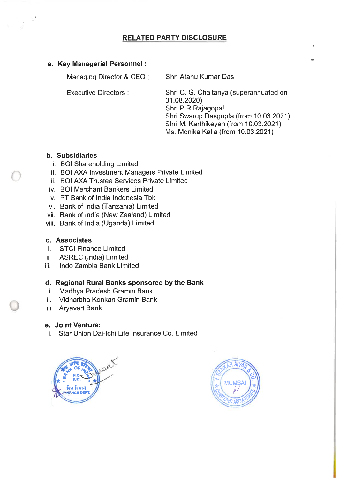# **RELATED PARTY DISCLOSURE**

## **a. Key Managerial Personnel :**

Managing Director & CEO :

Shri Atanu Kumar Das

Executive Directors :

Shri C. G. Chaitanya (superannuated on 31.08.2020) Shri P R Rajagopal Shri Swarup Dasgupta (from 10.03.2021) Shri M. Karthikeyan (from 10.03.2021) Ms. Monika Kalia (from 10.03.2021)

## **b. Subsidiaries**

- i. BOI Shareholding Limited
- ii. BOI AXA Investment Managers Private Limited
- iii. BOI AXA Trustee Services Private Limited
- iv. BOI Merchant Bankers Limited
- v. PT Bank of India Indonesia Tbk
- vi. Bank of India (Tanzania) Limited
- vii. Bank of India (New Zealand) Limited
- viii. Bank of India (Uganda) Limited

## **c. Associates**

- i. STCI Finance Limited
- ii. ASREC (India) Limited
- iii. Indo Zambia Bank Limited

## **d. Regional Rural Banks sponsored by the Bank**

- i. Madhya Pradesh Gramin Bank
- ii. Vidharbha Konkan Gramin Bank
- iii. Aryavart Bank

## **e. Joint Venture:**

i. Star Union Dai-Ichi Life Insurance Co. Limited



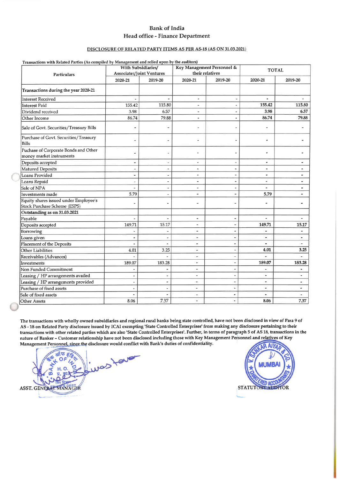## **Bank of India Head office - Finance Department**

### **DISCLOSURE OF RELATED PARTY ITEMS AS PER AS-18 (AS ON 31.03.2021)**

|                                                                       | With Subsidiaries/        |                          | Key Management Personnel & |                          | <b>TOTAL</b>          |                |  |  |
|-----------------------------------------------------------------------|---------------------------|--------------------------|----------------------------|--------------------------|-----------------------|----------------|--|--|
| <b>Particulars</b>                                                    | Associates/Joint Ventures |                          | their relatives            |                          |                       |                |  |  |
|                                                                       | 2020-21                   | 2019-20                  | 2020-21                    | 2019-20                  | 2020-21               | 2019-20        |  |  |
| Transactions during the year 2020-21                                  |                           |                          |                            |                          |                       |                |  |  |
| <b>Interest Received</b>                                              | $\overline{\phantom{a}}$  | $\overline{\phantom{a}}$ | ۰                          | $\qquad \qquad -$        | $\hat{\phantom{a}}$   |                |  |  |
| Interest Paid                                                         | 155.42                    | 115.80                   | $\ddot{\phantom{1}}$       | $\blacksquare$           | 155.42                | 115.80         |  |  |
| Dividend received                                                     | 3.98                      | 6.57                     |                            |                          | 3.98                  | 6.57           |  |  |
| Other Income                                                          | 86.74                     | 79.88                    | $\blacksquare$             | $\overline{a}$           | 86.74                 | 79.88          |  |  |
| Sale of Govt. Securities/Treasury Bills                               |                           |                          | $\overline{a}$             |                          |                       |                |  |  |
| Purchase of Govt. Securities/Treasury<br>Bills                        |                           |                          | ÷                          |                          | ٠                     |                |  |  |
| Puchase of Corporate Bonds and Other<br>money market instruments      | è                         |                          | ÷                          |                          | ÷                     |                |  |  |
| Deposits accepted                                                     | $\overline{\phantom{a}}$  | $\overline{\phantom{a}}$ | ۰                          | $\overline{\phantom{a}}$ | ۰                     | ٠              |  |  |
| Matured Deposits                                                      | $\overline{a}$            | -                        | ÷                          | ۰                        | ÷                     |                |  |  |
| Loans Provided                                                        | ٠                         | $\blacksquare$           | $\blacksquare$             | $\blacksquare$           | ۰                     | ٠              |  |  |
| Loans Repaid                                                          | L,                        | $\overline{a}$           | ۰                          | $\overline{a}$           | $\tilde{\phantom{a}}$ | ٠              |  |  |
| Sale of NPA                                                           | ۰                         | $\overline{a}$           | $\overline{a}$             | $\blacksquare$           | $\overline{a}$        | ٠              |  |  |
| Investments made                                                      | 5.79                      | ÷,                       | $\blacksquare$             | ٠                        | 5.79                  |                |  |  |
| Equity shares issued under Employee's<br>Stock Purchase Scheme (ESPS) |                           | $\overline{a}$           | ۰                          |                          |                       |                |  |  |
| Outstanding as on 31.03.2021                                          |                           |                          |                            |                          |                       |                |  |  |
| Payable                                                               |                           |                          | $\overline{\phantom{a}}$   | $\overline{a}$           |                       |                |  |  |
| Deposits accepted                                                     | 149.71                    | 15.17                    | ٠                          | $\overline{\phantom{a}}$ | 149.71                | 15.17          |  |  |
| Borrowing                                                             |                           |                          | $\overline{a}$             | ٠                        |                       | ٠              |  |  |
| Loans given                                                           | ۰                         | ٠                        | ٠                          | ٠                        |                       | ۰              |  |  |
| Placement of the Deposits                                             |                           |                          | ۰                          |                          |                       | ۷              |  |  |
| <b>Other Liabilities</b>                                              | 4.01                      | 3.25                     | $\overline{a}$             |                          | 4.01                  | 3.25           |  |  |
| Receivables (Advances)                                                | $\overline{a}$            |                          | ÷                          | $\overline{\phantom{a}}$ | ä,                    | i.             |  |  |
| Investments                                                           | 189.07                    | 183.28                   | ۰                          | $\overline{a}$           | 189.07                | 183.28         |  |  |
| Non Funded Commitment                                                 |                           | $\overline{\phantom{a}}$ | $\overline{\phantom{0}}$   |                          | $\overline{a}$        | ä,             |  |  |
| Leasing / HP arrangements availed                                     |                           | $\tilde{\phantom{a}}$    | $\overline{\phantom{a}}$   | ٠                        | $\blacksquare$        | ٠              |  |  |
| Leasing / HP arrangements provided                                    | ٠                         | ٠                        | $\overline{\phantom{0}}$   | ÷                        | $\overline{a}$        | ۰              |  |  |
| Purchase of fixed assets                                              |                           |                          | ä,                         | $\overline{a}$           | $\blacksquare$        | $\overline{a}$ |  |  |
| Sale of fixed assets                                                  | ۰                         |                          | ۰                          | $\blacksquare$           | $\blacksquare$        |                |  |  |
| <b>Other Assets</b>                                                   | 8.06                      | 7.37                     |                            |                          | 8.06                  | 7.37           |  |  |

**The transactions with wholly owned subsidiaries and regional rural banks being state controlled, have not been disclosed in view of Para 9 of AS -18 on Related Party disclosure issued by ICAI exempting 'State Controlled Enterprises' from making any disclosure pertaining to their transactions with other related parties which are also 'State Controlled Enterprises'. Further, in terms of paragraph 5 of AS 18, transactions in the nature of Banker - Customer relationship have not been disclosed including those with Key Management Personnel and relatives of Key**  Management Personnel, since the disclosure would conflict with Bank's duties of confidentiality. AIX

was favor ASST. GENERAL MANA

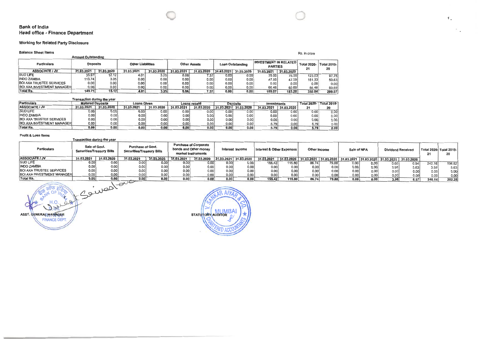#### **Bank of India Head office - Finance Department**

#### **Working for Related Party Disclosure**

**Amount Outstanding** 

#### **Balance Sheet Items**

# Rs. in crore

 $\mathbb{E}_+$ 

| <b>Particulars</b>                 | <b>Deposits</b> |            | <b>Other Liabilities</b> |                   |            | <b>Other Assets</b> |                   | <b>Loan Outstanding</b> | <b>INVESTMENT IN RELATED</b><br><b>PARTIES</b> |            | Total 2020-   Total 2019- | 20     |
|------------------------------------|-----------------|------------|--------------------------|-------------------|------------|---------------------|-------------------|-------------------------|------------------------------------------------|------------|---------------------------|--------|
| <b>ASSOCIATE / JV</b>              | 31.03.2021      | 31.03.2020 | 31.03.2021               | 31.03.2020        | 31.03.2021 | 31.03.2020          | 31.03.2021        | 31.03.2020              | 31.03.2021                                     | 31.03.2020 |                           |        |
| <b>SUD LIFE</b>                    | 35.97           | 12.12      | 4.01                     | 3.25              | 8.06       | 7.37                | 0.00 <sub>1</sub> | 0.00                    | 75.00                                          | 75.00      | 123.03                    | 97.75  |
| <b>INDO ZAMBIA</b>                 | 13.74           | 3.05       | 0.00                     | 0.00 <sub>1</sub> | 0.00       | 0.00                | 0.00              | 0.00                    | 47.59                                          | 47.59      | 161.33                    | 50.63  |
| <b>BOI AXA TRUSTEE SERVICES</b>    | 0.00            | 0.001      | 0.00                     | 0.00              | 0.00       | 0.001               | 0.00              | 0.001                   | 0.00                                           | 0.00       | 0.001                     | 0.00   |
| <b>BOI AXA INVESTMENT MANAGERI</b> | 0.00            | 0.001      | 0.00                     | 0.00              | 0.00       | 0.00                | 0.00              | 0.001                   | 66.48                                          | 60.69      | 66.48                     | 60.69  |
| Total Rs.                          | 149.71          | 15.17      | 4.01                     | 3.25              | 8.06       | 7.37                | 0.00              | 0.00                    | 189.07                                         | 183.28     | 350.84                    | 209.07 |

|                                   | Transaction during the year |            |                    |            |            |                     |            |                 |                    |            |                    |                    |
|-----------------------------------|-----------------------------|------------|--------------------|------------|------------|---------------------|------------|-----------------|--------------------|------------|--------------------|--------------------|
| <b>Particulars</b>                | <b>Matured Deposits</b>     |            | <b>Loans Given</b> |            |            | <b>Loans repaid</b> |            | <b>Deposits</b> | <b>Investments</b> |            | <b>Total 2020-</b> | <b>Total 2019-</b> |
| <b>ASSOCIATE / JV</b>             | 31.03.2021                  | 31.03.2020 | 31.03.2021         | 31.03.2020 | 31.03.2021 | 31.03.2020          | 31.03.2021 | 31.03.2020      | 31.03.2021         | 31.03.2020 | 21                 | 20                 |
| <b>SUD LIFE</b>                   | 0.00                        | 0.00       | 0.00               | 0.001      | 0.001      | 0.00                | 0.00       | 0.00            | 0.001              | 0.00       | 0.00               | 0.00               |
| <b>INDO ZAMBIA</b>                | 0.00                        | 0.00       | 0.00               | 0.00       | 0.00       | 0.00                | 0.00       | 0.00            | 0.00               | 0.00       | 0.001              | 0.00               |
| <b>BOI AXA TRUSTEE SERVICES</b>   | 0.001                       | 0.00       | 0.00               | 0.00       | 0.00       | 0.00                | 0.00       | 0.00            | 0.00               | 0.00       | 0.00               | 0.00               |
| <b>BOI AXA INVESTMENT MANAGER</b> | 0.00                        | 0.00       | 0.00               | 0.00       | 0.001      | 0.001               | 0.00       | 0.00            | 5.79               | 0.00       | 5.79               | 0.00               |
| Total Rs.                         | 0.00                        | 0.00       | 0.00               | 0.00       | 0.00       | 0.00                | 0.00       | 0.00            | 5.79               | 0.00       | 5.79               | 0.00               |

#### **Profit &** Loss Items

|                                    | Transaction during the year                |                   |                                                       |            |                                                                                                |            |                           |            |              |            |                       |       |                          |      |                                             |                         |        |        |
|------------------------------------|--------------------------------------------|-------------------|-------------------------------------------------------|------------|------------------------------------------------------------------------------------------------|------------|---------------------------|------------|--------------|------------|-----------------------|-------|--------------------------|------|---------------------------------------------|-------------------------|--------|--------|
| <b>Particulars</b>                 | Sale of Govt.<br>Securities/Treasury Bills |                   | <b>Purchase of Govt.</b><br>Securities/Treasury Bills |            | <b>Purchase of Corporate</b><br>bonds and Other money<br>Interest Income<br>market instruments |            | Interest & Other Expenses |            | Other Income |            | Sale of NPA           |       | <b>Dividend Received</b> |      | 21                                          | Total 2020- Total 2019- |        |        |
| <b>ASSOCIATE / JV</b>              | 31.03.2021                                 | 31.03.2020        | 31.03.2021                                            | 31.03.2020 | 31.03.2021                                                                                     | 31.03.2020 | 31.03.2021                | 31.03.2020 | 31.03.2021   | 31.03.2020 | 31.03.2021 31.03.2020 |       |                          |      | 31.03.2021 31.03.2020 31.03.2021 31.03.2020 |                         |        |        |
| <b>SUD LIFE</b>                    | 0.00                                       | 0.001             | 0.00                                                  | 0.00       | 0.00                                                                                           | 0.00       | 0.00                      | 0.00       | 155.42       | 115.80     | 86.74                 | 79.88 | 0.00                     | 0.00 | 0.001                                       | 0.94                    | 242.16 | 196.62 |
| <b>INDO ZAMBIA</b>                 | 0.00                                       | 0.00              | 0.00                                                  | 0.00       | 0.00                                                                                           | 0.00       | 0.00                      | 0.00       | 0.00         | 0.00       | 0.00                  | 0.00  | 0.00                     | 0.00 | 3.98                                        | 5.63                    | 3.98   | 5.63   |
| <b>BOI AXA TRUSTEE SERVICES</b>    | 0.00                                       | 0.00              | 0.00                                                  | 0.00       | 0.00                                                                                           | 0.00       | 0.00                      | 0.00       | 0.00         | 0.00       | 0.00                  | 0.00  | 0.00                     | 0.00 | 0.00 <sub>1</sub>                           | 0.00                    | 0.00   | 0.00   |
| <b>BOI AXA INVESTMENT MANAGERI</b> | 0.00                                       | 0.00 <sub>1</sub> | 0.00                                                  | 0.00       | 0.00                                                                                           | 0.00       | 0.00                      | 0.00       | 0.00         | 0.00       | 0.00                  | 0.00  | 0.00                     | 0.00 | 0.00                                        | 0.00                    | 0.00   | 0.00   |
| <b>Total Rs.</b>                   | 0.00                                       | 0.00              | 0.00                                                  | 0.00       | 0.00                                                                                           | 0.00       | 0.00                      | 0.00       | 155.42       | 115.80     | 86.74                 | 79.88 | 0.00                     | 0.00 | 3.98                                        | 6.57                    | 246.14 | 202.25 |

ASST. GENERAL MANAGER

 $AI$ **STATUTORY AUDITOR AND**